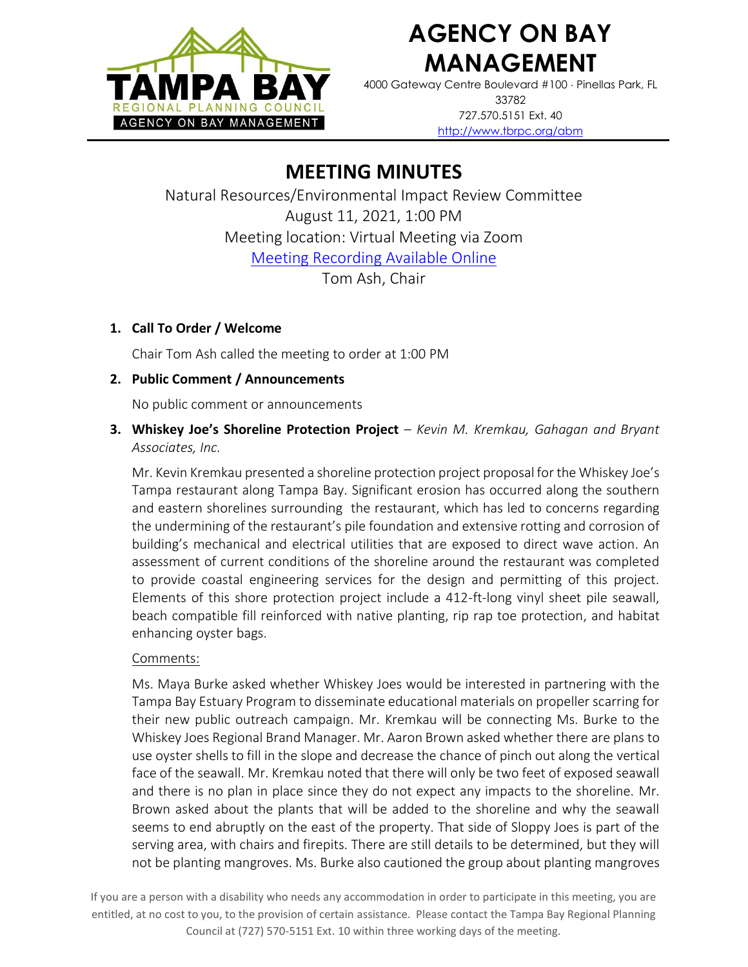

# **AGENCY ON BAY MANAGEMENT**

4000 Gateway Centre Boulevard #100 Pinellas Park, FL 33782 727.570.5151 Ext. 40 <http://www.tbrpc.org/abm>

# **MEETING MINUTES**

Natural Resources/Environmental Impact Review Committee August 11, 2021, 1:00 PM Meeting location: Virtual Meeting via Zoom [Meeting Recording Available Online](https://www.youtube.com/watch?v=RyTMO55_Yt0) Tom Ash, Chair

## **1. Call To Order / Welcome**

Chair Tom Ash called the meeting to order at 1:00 PM

## **2. Public Comment / Announcements**

No public comment or announcements

**3. Whiskey Joe's Shoreline Protection Project** – *Kevin M. Kremkau, Gahagan and Bryant Associates, Inc.* 

Mr. Kevin Kremkau presented a shoreline protection project proposal for the Whiskey Joe's Tampa restaurant along Tampa Bay. Significant erosion has occurred along the southern and eastern shorelines surrounding the restaurant, which has led to concerns regarding the undermining of the restaurant's pile foundation and extensive rotting and corrosion of building's mechanical and electrical utilities that are exposed to direct wave action. An assessment of current conditions of the shoreline around the restaurant was completed to provide coastal engineering services for the design and permitting of this project. Elements of this shore protection project include a 412-ft-long vinyl sheet pile seawall, beach compatible fill reinforced with native planting, rip rap toe protection, and habitat enhancing oyster bags.

#### Comments:

Ms. Maya Burke asked whether Whiskey Joes would be interested in partnering with the Tampa Bay Estuary Program to disseminate educational materials on propeller scarring for their new public outreach campaign. Mr. Kremkau will be connecting Ms. Burke to the Whiskey Joes Regional Brand Manager. Mr. Aaron Brown asked whether there are plans to use oyster shells to fill in the slope and decrease the chance of pinch out along the vertical face of the seawall. Mr. Kremkau noted that there will only be two feet of exposed seawall and there is no plan in place since they do not expect any impacts to the shoreline. Mr. Brown asked about the plants that will be added to the shoreline and why the seawall seems to end abruptly on the east of the property. That side of Sloppy Joes is part of the serving area, with chairs and firepits. There are still details to be determined, but they will not be planting mangroves. Ms. Burke also cautioned the group about planting mangroves

If you are a person with a disability who needs any accommodation in order to participate in this meeting, you are entitled, at no cost to you, to the provision of certain assistance. Please contact the Tampa Bay Regional Planning Council at (727) 570-5151 Ext. 10 within three working days of the meeting.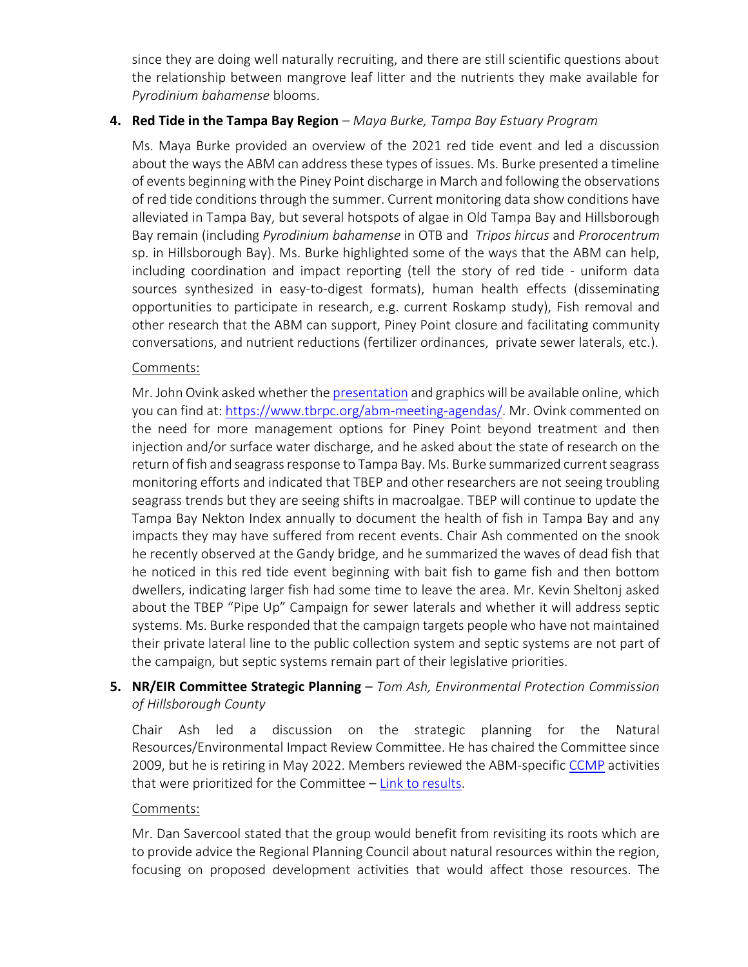since they are doing well naturally recruiting, and there are still scientific questions about the relationship between mangrove leaf litter and the nutrients they make available for *Pyrodinium bahamense* blooms.

#### **4. Red Tide in the Tampa Bay Region** – *Maya Burke, Tampa Bay Estuary Program*

Ms. Maya Burke provided an overview of the 2021 red tide event and led a discussion about the ways the ABM can address these types of issues. Ms. Burke presented a timeline of events beginning with the Piney Point discharge in March and following the observations of red tide conditions through the summer. Current monitoring data show conditions have alleviated in Tampa Bay, but several hotspots of algae in Old Tampa Bay and Hillsborough Bay remain (including *Pyrodinium bahamense* in OTB and *Tripos hircus* and *Prorocentrum* sp. in Hillsborough Bay). Ms. Burke highlighted some of the ways that the ABM can help, including coordination and impact reporting (tell the story of red tide - uniform data sources synthesized in easy-to-digest formats), human health effects (disseminating opportunities to participate in research, e.g. current Roskamp study), Fish removal and other research that the ABM can support, Piney Point closure and facilitating community conversations, and nutrient reductions (fertilizer ordinances, private sewer laterals, etc.).

#### Comments:

Mr. John Ovink asked whether th[e presentation](https://www.tbrpc.org/wp-content/uploads/2021/08/Red_Tide_Tampa_Bay_2021.pdf) and graphics will be available online, which you can find at[: https://www.tbrpc.org/abm-meeting-agendas/.](https://www.tbrpc.org/abm-meeting-agendas/) Mr. Ovink commented on the need for more management options for Piney Point beyond treatment and then injection and/or surface water discharge, and he asked about the state of research on the return of fish and seagrass response to Tampa Bay. Ms. Burke summarized current seagrass monitoring efforts and indicated that TBEP and other researchers are not seeing troubling seagrass trends but they are seeing shifts in macroalgae. TBEP will continue to update the Tampa Bay Nekton Index annually to document the health of fish in Tampa Bay and any impacts they may have suffered from recent events. Chair Ash commented on the snook he recently observed at the Gandy bridge, and he summarized the waves of dead fish that he noticed in this red tide event beginning with bait fish to game fish and then bottom dwellers, indicating larger fish had some time to leave the area. Mr. Kevin Sheltonj asked about the TBEP "Pipe Up" Campaign for sewer laterals and whether it will address septic systems. Ms. Burke responded that the campaign targets people who have not maintained their private lateral line to the public collection system and septic systems are not part of the campaign, but septic systems remain part of their legislative priorities.

### **5. NR/EIR Committee Strategic Planning** – *Tom Ash, Environmental Protection Commission of Hillsborough County*

Chair Ash led a discussion on the strategic planning for the Natural Resources/Environmental Impact Review Committee. He has chaired the Committee since 2009, but he is retiring in May 2022. Members reviewed the ABM-specific [CCMP](https://indd.adobe.com/view/cf7b3c48-d2b2-4713-921c-c2a0d4466632) activities that were prioritized for the Committee – [Link to results.](https://www.tbrpc.org/wp-content/uploads/2021/07/ABM_CCMP_Assignments-1-1.pdf)

#### Comments:

Mr. Dan Savercool stated that the group would benefit from revisiting its roots which are to provide advice the Regional Planning Council about natural resources within the region, focusing on proposed development activities that would affect those resources. The